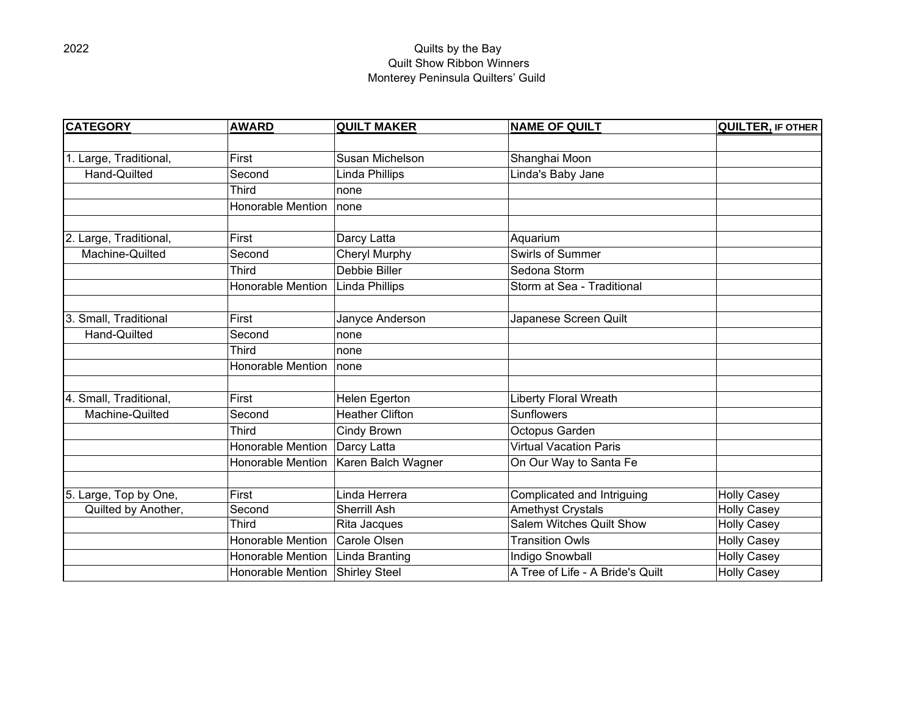## 2022 Quilts by the Bay Quilt Show Ribbon Winners Monterey Peninsula Quilters' Guild

| <b>CATEGORY</b>        | <b>AWARD</b>             | <b>QUILT MAKER</b>     | <b>NAME OF QUILT</b>             | <b>QUILTER, IF OTHER</b> |
|------------------------|--------------------------|------------------------|----------------------------------|--------------------------|
|                        |                          |                        |                                  |                          |
| 1. Large, Traditional, | First                    | Susan Michelson        | Shanghai Moon                    |                          |
| Hand-Quilted           | Second                   | Linda Phillips         | Linda's Baby Jane                |                          |
|                        | <b>Third</b>             | none                   |                                  |                          |
|                        | <b>Honorable Mention</b> | none                   |                                  |                          |
|                        |                          |                        |                                  |                          |
| 2. Large, Traditional, | First                    | Darcy Latta            | Aquarium                         |                          |
| Machine-Quilted        | Second                   | Cheryl Murphy          | Swirls of Summer                 |                          |
|                        | <b>Third</b>             | Debbie Biller          | Sedona Storm                     |                          |
|                        | <b>Honorable Mention</b> | Linda Phillips         | Storm at Sea - Traditional       |                          |
|                        |                          |                        |                                  |                          |
| 3. Small, Traditional  | First                    | Janyce Anderson        | Japanese Screen Quilt            |                          |
| Hand-Quilted           | Second                   | none                   |                                  |                          |
|                        | <b>Third</b>             | none                   |                                  |                          |
|                        | <b>Honorable Mention</b> | none                   |                                  |                          |
|                        |                          |                        |                                  |                          |
| 4. Small, Traditional, | First                    | Helen Egerton          | <b>Liberty Floral Wreath</b>     |                          |
| Machine-Quilted        | Second                   | <b>Heather Clifton</b> | <b>Sunflowers</b>                |                          |
|                        | <b>Third</b>             | Cindy Brown            | Octopus Garden                   |                          |
|                        | <b>Honorable Mention</b> | Darcy Latta            | <b>Virtual Vacation Paris</b>    |                          |
|                        | <b>Honorable Mention</b> | Karen Balch Wagner     | On Our Way to Santa Fe           |                          |
|                        |                          |                        |                                  |                          |
| 5. Large, Top by One,  | First                    | Linda Herrera          | Complicated and Intriguing       | <b>Holly Casey</b>       |
| Quilted by Another,    | Second                   | Sherrill Ash           | Amethyst Crystals                | <b>Holly Casey</b>       |
|                        | <b>Third</b>             | Rita Jacques           | Salem Witches Quilt Show         | <b>Holly Casey</b>       |
|                        | <b>Honorable Mention</b> | Carole Olsen           | <b>Transition Owls</b>           | <b>Holly Casey</b>       |
|                        | <b>Honorable Mention</b> | Linda Branting         | Indigo Snowball                  | <b>Holly Casey</b>       |
|                        | Honorable Mention        | Shirley Steel          | A Tree of Life - A Bride's Quilt | <b>Holly Casey</b>       |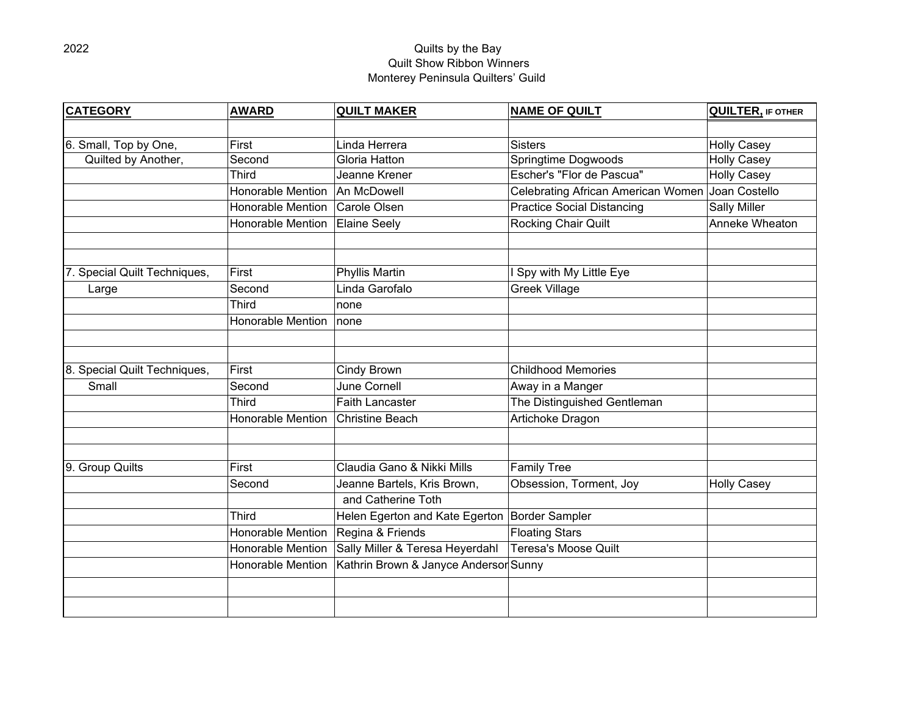## 2022 Quilts by the Bay Quilt Show Ribbon Winners Monterey Peninsula Quilters' Guild

| <b>CATEGORY</b>              | <b>AWARD</b>             | <b>QUILT MAKER</b>                    | <b>NAME OF QUILT</b>                             | <b>QUILTER, IF OTHER</b> |
|------------------------------|--------------------------|---------------------------------------|--------------------------------------------------|--------------------------|
|                              |                          |                                       |                                                  |                          |
| 6. Small, Top by One,        | First                    | Linda Herrera                         | <b>Sisters</b>                                   | <b>Holly Casey</b>       |
| Quilted by Another,          | Second                   | Gloria Hatton                         | Springtime Dogwoods                              | <b>Holly Casey</b>       |
|                              | <b>Third</b>             | Jeanne Krener                         | Escher's "Flor de Pascua"                        | <b>Holly Casey</b>       |
|                              | <b>Honorable Mention</b> | An McDowell                           | Celebrating African American Women Joan Costello |                          |
|                              | <b>Honorable Mention</b> | Carole Olsen                          | <b>Practice Social Distancing</b>                | <b>Sally Miller</b>      |
|                              | Honorable Mention        | <b>Elaine Seely</b>                   | Rocking Chair Quilt                              | Anneke Wheaton           |
|                              |                          |                                       |                                                  |                          |
| Special Quilt Techniques,    | First                    | <b>Phyllis Martin</b>                 | Spy with My Little Eye                           |                          |
| Large                        | Second                   | Linda Garofalo                        | <b>Greek Village</b>                             |                          |
|                              | <b>Third</b>             | none                                  |                                                  |                          |
|                              | <b>Honorable Mention</b> | none                                  |                                                  |                          |
|                              |                          |                                       |                                                  |                          |
| 8. Special Quilt Techniques, | First                    | Cindy Brown                           | <b>Childhood Memories</b>                        |                          |
| Small                        | Second                   | June Cornell                          | Away in a Manger                                 |                          |
|                              | <b>Third</b>             | <b>Faith Lancaster</b>                | The Distinguished Gentleman                      |                          |
|                              | <b>Honorable Mention</b> | <b>Christine Beach</b>                | Artichoke Dragon                                 |                          |
|                              |                          |                                       |                                                  |                          |
|                              |                          |                                       |                                                  |                          |
| 9. Group Quilts              | First                    | Claudia Gano & Nikki Mills            | <b>Family Tree</b>                               |                          |
|                              | Second                   | Jeanne Bartels, Kris Brown,           | Obsession, Torment, Joy                          | <b>Holly Casey</b>       |
|                              |                          | and Catherine Toth                    |                                                  |                          |
|                              | <b>Third</b>             | Helen Egerton and Kate Egerton        | <b>Border Sampler</b>                            |                          |
|                              | Honorable Mention        | Regina & Friends                      | <b>Floating Stars</b>                            |                          |
|                              | <b>Honorable Mention</b> | Sally Miller & Teresa Heyerdahl       | <b>Teresa's Moose Quilt</b>                      |                          |
|                              | Honorable Mention        | Kathrin Brown & Janyce Andersor Sunny |                                                  |                          |
|                              |                          |                                       |                                                  |                          |
|                              |                          |                                       |                                                  |                          |